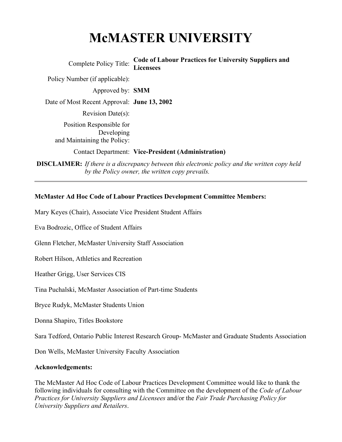# **McMASTER UNIVERSITY**

Complete Policy Title: **Code of Labour Practices for University Suppliers and Licensees**

Policy Number (if applicable):

Approved by: **SMM**

Date of Most Recent Approval: **June 13, 2002**

Revision Date(s):

Position Responsible for Developing and Maintaining the Policy:

Contact Department: **Vice-President (Administration)** 

**DISCLAIMER:** *If there is a discrepancy between this electronic policy and the written copy held by the Policy owner, the written copy prevails.*

#### **McMaster Ad Hoc Code of Labour Practices Development Committee Members:**

Mary Keyes (Chair), Associate Vice President Student Affairs

Eva Bodrozic, Office of Student Affairs

Glenn Fletcher, McMaster University Staff Association

Robert Hilson, Athletics and Recreation

Heather Grigg, User Services CIS

Tina Puchalski, McMaster Association of Part-time Students

Bryce Rudyk, McMaster Students Union

Donna Shapiro, Titles Bookstore

Sara Tedford, Ontario Public Interest Research Group- McMaster and Graduate Students Association

Don Wells, McMaster University Faculty Association

#### **Acknowledgements:**

The McMaster Ad Hoc Code of Labour Practices Development Committee would like to thank the following individuals for consulting with the Committee on the development of the *Code of Labour Practices for University Suppliers and Licensees* and/or the *Fair Trade Purchasing Policy for University Suppliers and Retailers*.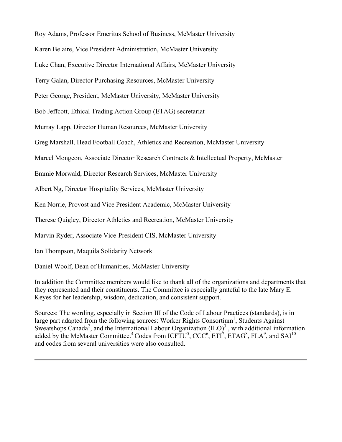Roy Adams, Professor Emeritus School of Business, McMaster University Karen Belaire, Vice President Administration, McMaster University

Luke Chan, Executive Director International Affairs, McMaster University

Terry Galan, Director Purchasing Resources, McMaster University

Peter George, President, McMaster University, McMaster University

Bob Jeffcott, Ethical Trading Action Group (ETAG) secretariat

Murray Lapp, Director Human Resources, McMaster University

Greg Marshall, Head Football Coach, Athletics and Recreation, McMaster University

Marcel Mongeon, Associate Director Research Contracts & Intellectual Property, McMaster

Emmie Morwald, Director Research Services, McMaster University

Albert Ng, Director Hospitality Services, McMaster University

Ken Norrie, Provost and Vice President Academic, McMaster University

Therese Quigley, Director Athletics and Recreation, McMaster University

Marvin Ryder, Associate Vice-President CIS, McMaster University

Ian Thompson, Maquila Solidarity Network

Daniel Woolf, Dean of Humanities, McMaster University

In addition the Committee members would like to thank all of the organizations and departments that they represented and their constituents. The Committee is especially grateful to the late Mary E. Keyes for her leadership, wisdom, dedication, and consistent support.

Sources: The wording, especially in Section III of the Code of Labour Practices (standards), is in large part adapted from the following sources: Worker Rights Consortium<sup>1</sup>, Students Against Sweatshops Canada<sup>2</sup>, and the International Labour Organization  $(ILO)^3$ , with additional information added by the McMaster Committee.<sup>4</sup> Codes from ICFTU<sup>5</sup>, CCC<sup>6</sup>, ETI<sup>7</sup>, ETAG<sup>8</sup>, FLA<sup>9</sup>, and SAI<sup>10</sup> and codes from several universities were also consulted.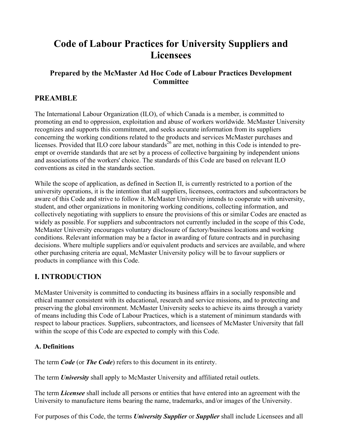# **Code of Labour Practices for University Suppliers and Licensees**

# **Prepared by the McMaster Ad Hoc Code of Labour Practices Development Committee**

# **PREAMBLE**

The International Labour Organization (ILO), of which Canada is a member, is committed to promoting an end to oppression, exploitation and abuse of workers worldwide. McMaster University recognizes and supports this commitment, and seeks accurate information from its suppliers concerning the working conditions related to the products and services McMaster purchases and licenses. Provided that ILO core labour standards<sup>26</sup> are met, nothing in this Code is intended to preempt or override standards that are set by a process of collective bargaining by independent unions and associations of the workers' choice. The standards of this Code are based on relevant ILO conventions as cited in the standards section.

While the scope of application, as defined in Section II, is currently restricted to a portion of the university operations, it is the intention that all suppliers, licensees, contractors and subcontractors be aware of this Code and strive to follow it. McMaster University intends to cooperate with university, student, and other organizations in monitoring working conditions, collecting information, and collectively negotiating with suppliers to ensure the provisions of this or similar Codes are enacted as widely as possible. For suppliers and subcontractors not currently included in the scope of this Code, McMaster University encourages voluntary disclosure of factory/business locations and working conditions. Relevant information may be a factor in awarding of future contracts and in purchasing decisions. Where multiple suppliers and/or equivalent products and services are available, and where other purchasing criteria are equal, McMaster University policy will be to favour suppliers or products in compliance with this Code.

# **I. INTRODUCTION**

McMaster University is committed to conducting its business affairs in a socially responsible and ethical manner consistent with its educational, research and service missions, and to protecting and preserving the global environment. McMaster University seeks to achieve its aims through a variety of means including this Code of Labour Practices, which is a statement of minimum standards with respect to labour practices. Suppliers, subcontractors, and licensees of McMaster University that fall within the scope of this Code are expected to comply with this Code.

#### **A. Definitions**

The term *Code* (or *The Code*) refers to this document in its entirety.

The term *University* shall apply to McMaster University and affiliated retail outlets.

The term *Licensee* shall include all persons or entities that have entered into an agreement with the University to manufacture items bearing the name, trademarks, and/or images of the University.

For purposes of this Code, the terms *University Supplier* or *Supplier* shall include Licensees and all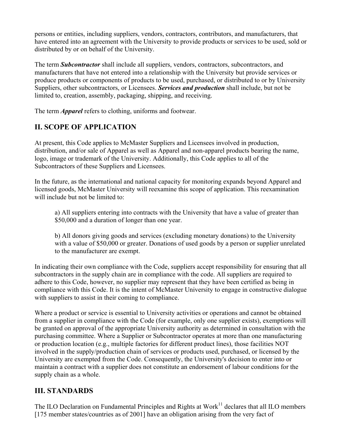persons or entities, including suppliers, vendors, contractors, contributors, and manufacturers, that have entered into an agreement with the University to provide products or services to be used, sold or distributed by or on behalf of the University.

The term *Subcontractor* shall include all suppliers, vendors, contractors, subcontractors, and manufacturers that have not entered into a relationship with the University but provide services or produce products or components of products to be used, purchased, or distributed to or by University Suppliers, other subcontractors, or Licensees. *Services and production* shall include, but not be limited to, creation, assembly, packaging, shipping, and receiving.

The term *Apparel* refers to clothing, uniforms and footwear.

# **II. SCOPE OF APPLICATION**

At present, this Code applies to McMaster Suppliers and Licensees involved in production, distribution, and/or sale of Apparel as well as Apparel and non-apparel products bearing the name, logo, image or trademark of the University. Additionally, this Code applies to all of the Subcontractors of these Suppliers and Licensees.

In the future, as the international and national capacity for monitoring expands beyond Apparel and licensed goods, McMaster University will reexamine this scope of application. This reexamination will include but not be limited to:

a) All suppliers entering into contracts with the University that have a value of greater than \$50,000 and a duration of longer than one year.

b) All donors giving goods and services (excluding monetary donations) to the University with a value of \$50,000 or greater. Donations of used goods by a person or supplier unrelated to the manufacturer are exempt.

In indicating their own compliance with the Code, suppliers accept responsibility for ensuring that all subcontractors in the supply chain are in compliance with the code. All suppliers are required to adhere to this Code, however, no supplier may represent that they have been certified as being in compliance with this Code. It is the intent of McMaster University to engage in constructive dialogue with suppliers to assist in their coming to compliance.

Where a product or service is essential to University activities or operations and cannot be obtained from a supplier in compliance with the Code (for example, only one supplier exists), exemptions will be granted on approval of the appropriate University authority as determined in consultation with the purchasing committee. Where a Supplier or Subcontractor operates at more than one manufacturing or production location (e.g., multiple factories for different product lines), those facilities NOT involved in the supply/production chain of services or products used, purchased, or licensed by the University are exempted from the Code. Consequently, the University's decision to enter into or maintain a contract with a supplier does not constitute an endorsement of labour conditions for the supply chain as a whole.

# **III. STANDARDS**

The ILO Declaration on Fundamental Principles and Rights at Work<sup>11</sup> declares that all ILO members [175 member states/countries as of 2001] have an obligation arising from the very fact of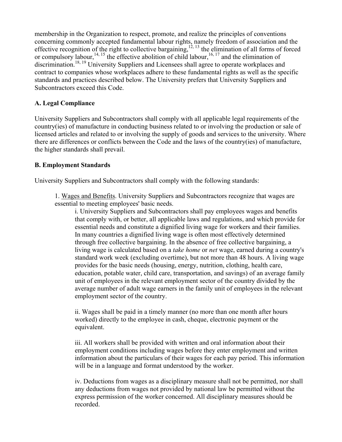membership in the Organization to respect, promote, and realize the principles of conventions concerning commonly accepted fundamental labour rights, namely freedom of association and the effective recognition of the right to collective bargaining,  $12, 13$  the elimination of all forms of forced or compulsory labour,<sup>14, 15</sup> the effective abolition of child labour,<sup>16, 17</sup> and the elimination of discrimination.<sup>18, 19</sup> University Suppliers and Licensees shall agree to operate workplaces and contract to companies whose workplaces adhere to these fundamental rights as well as the specific standards and practices described below. The University prefers that University Suppliers and Subcontractors exceed this Code.

#### **A. Legal Compliance**

University Suppliers and Subcontractors shall comply with all applicable legal requirements of the country(ies) of manufacture in conducting business related to or involving the production or sale of licensed articles and related to or involving the supply of goods and services to the university. Where there are differences or conflicts between the Code and the laws of the country(ies) of manufacture, the higher standards shall prevail.

#### **B. Employment Standards**

University Suppliers and Subcontractors shall comply with the following standards:

1. Wages and Benefits. University Suppliers and Subcontractors recognize that wages are essential to meeting employees' basic needs.

i. University Suppliers and Subcontractors shall pay employees wages and benefits that comply with, or better, all applicable laws and regulations, and which provide for essential needs and constitute a dignified living wage for workers and their families. In many countries a dignified living wage is often most effectively determined through free collective bargaining. In the absence of free collective bargaining, a living wage is calculated based on a *take home* or *net* wage, earned during a country's standard work week (excluding overtime), but not more than 48 hours. A living wage provides for the basic needs (housing, energy, nutrition, clothing, health care, education, potable water, child care, transportation, and savings) of an average family unit of employees in the relevant employment sector of the country divided by the average number of adult wage earners in the family unit of employees in the relevant employment sector of the country.

ii. Wages shall be paid in a timely manner (no more than one month after hours worked) directly to the employee in cash, cheque, electronic payment or the equivalent.

iii. All workers shall be provided with written and oral information about their employment conditions including wages before they enter employment and written information about the particulars of their wages for each pay period. This information will be in a language and format understood by the worker.

iv. Deductions from wages as a disciplinary measure shall not be permitted, nor shall any deductions from wages not provided by national law be permitted without the express permission of the worker concerned. All disciplinary measures should be recorded.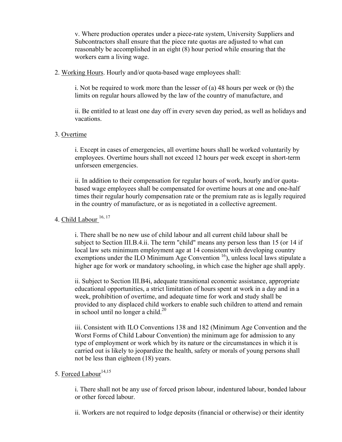v. Where production operates under a piece-rate system, University Suppliers and Subcontractors shall ensure that the piece rate quotas are adjusted to what can reasonably be accomplished in an eight (8) hour period while ensuring that the workers earn a living wage.

#### 2. Working Hours. Hourly and/or quota-based wage employees shall:

i. Not be required to work more than the lesser of (a) 48 hours per week or (b) the limits on regular hours allowed by the law of the country of manufacture, and

ii. Be entitled to at least one day off in every seven day period, as well as holidays and vacations.

#### 3. Overtime

i. Except in cases of emergencies, all overtime hours shall be worked voluntarily by employees. Overtime hours shall not exceed 12 hours per week except in short-term unforseen emergencies.

ii. In addition to their compensation for regular hours of work, hourly and/or quotabased wage employees shall be compensated for overtime hours at one and one-half times their regular hourly compensation rate or the premium rate as is legally required in the country of manufacture, or as is negotiated in a collective agreement.

#### 4. Child Labour  $16, 17$

i. There shall be no new use of child labour and all current child labour shall be subject to Section III.B.4.ii. The term "child" means any person less than 15 (or 14 if local law sets minimum employment age at 14 consistent with developing country exemptions under the ILO Minimum Age Convention  $\frac{16}{10}$ , unless local laws stipulate a higher age for work or mandatory schooling, in which case the higher age shall apply.

ii. Subject to Section III.B4i, adequate transitional economic assistance, appropriate educational opportunities, a strict limitation of hours spent at work in a day and in a week, prohibition of overtime, and adequate time for work and study shall be provided to any displaced child workers to enable such children to attend and remain in school until no longer a child.<sup>20</sup>

iii. Consistent with ILO Conventions 138 and 182 (Minimum Age Convention and the Worst Forms of Child Labour Convention) the minimum age for admission to any type of employment or work which by its nature or the circumstances in which it is carried out is likely to jeopardize the health, safety or morals of young persons shall not be less than eighteen (18) years.

#### 5. Forced Labour<sup>14,15</sup>

i. There shall not be any use of forced prison labour, indentured labour, bonded labour or other forced labour.

ii. Workers are not required to lodge deposits (financial or otherwise) or their identity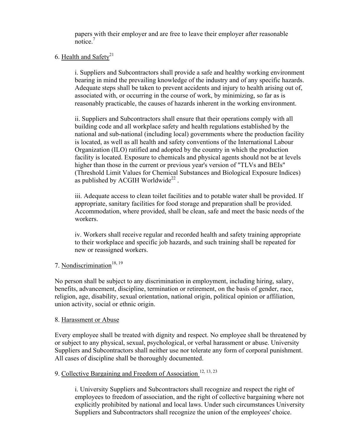papers with their employer and are free to leave their employer after reasonable notice $<sup>7</sup>$ </sup>

#### 6. Health and Safety<sup>21</sup>

i. Suppliers and Subcontractors shall provide a safe and healthy working environment bearing in mind the prevailing knowledge of the industry and of any specific hazards. Adequate steps shall be taken to prevent accidents and injury to health arising out of, associated with, or occurring in the course of work, by minimizing, so far as is reasonably practicable, the causes of hazards inherent in the working environment.

ii. Suppliers and Subcontractors shall ensure that their operations comply with all building code and all workplace safety and health regulations established by the national and sub-national (including local) governments where the production facility is located, as well as all health and safety conventions of the International Labour Organization (ILO) ratified and adopted by the country in which the production facility is located. Exposure to chemicals and physical agents should not be at levels higher than those in the current or previous year's version of "TLVs and BEIs" (Threshold Limit Values for Chemical Substances and Biological Exposure Indices) as published by ACGIH Worldwide<sup>22</sup>.

iii. Adequate access to clean toilet facilities and to potable water shall be provided. If appropriate, sanitary facilities for food storage and preparation shall be provided. Accommodation, where provided, shall be clean, safe and meet the basic needs of the workers.

iv. Workers shall receive regular and recorded health and safety training appropriate to their workplace and specific job hazards, and such training shall be repeated for new or reassigned workers.

#### 7. Nondiscrimination<sup>18, 19</sup>

No person shall be subject to any discrimination in employment, including hiring, salary, benefits, advancement, discipline, termination or retirement, on the basis of gender, race, religion, age, disability, sexual orientation, national origin, political opinion or affiliation, union activity, social or ethnic origin.

#### 8. Harassment or Abuse

Every employee shall be treated with dignity and respect. No employee shall be threatened by or subject to any physical, sexual, psychological, or verbal harassment or abuse. University Suppliers and Subcontractors shall neither use nor tolerate any form of corporal punishment. All cases of discipline shall be thoroughly documented.

#### 9. Collective Bargaining and Freedom of Association<sup>12, 13, 23</sup>

i. University Suppliers and Subcontractors shall recognize and respect the right of employees to freedom of association, and the right of collective bargaining where not explicitly prohibited by national and local laws. Under such circumstances University Suppliers and Subcontractors shall recognize the union of the employees' choice.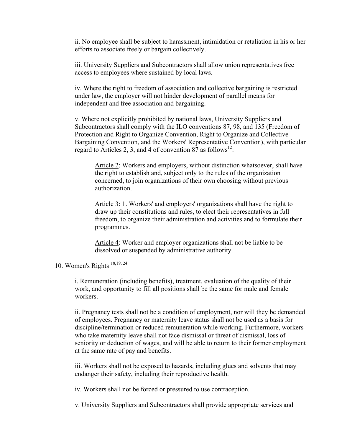ii. No employee shall be subject to harassment, intimidation or retaliation in his or her efforts to associate freely or bargain collectively.

iii. University Suppliers and Subcontractors shall allow union representatives free access to employees where sustained by local laws.

iv. Where the right to freedom of association and collective bargaining is restricted under law, the employer will not hinder development of parallel means for independent and free association and bargaining.

v. Where not explicitly prohibited by national laws, University Suppliers and Subcontractors shall comply with the ILO conventions 87, 98, and 135 (Freedom of Protection and Right to Organize Convention, Right to Organize and Collective Bargaining Convention, and the Workers' Representative Convention), with particular regard to Articles 2, 3, and 4 of convention 87 as follows<sup>12</sup>:

Article 2: Workers and employers, without distinction whatsoever, shall have the right to establish and, subject only to the rules of the organization concerned, to join organizations of their own choosing without previous authorization.

Article 3: 1. Workers' and employers' organizations shall have the right to draw up their constitutions and rules, to elect their representatives in full freedom, to organize their administration and activities and to formulate their programmes.

Article 4: Worker and employer organizations shall not be liable to be dissolved or suspended by administrative authority.

# 10. Women's Rights 18,19, 24

i. Remuneration (including benefits), treatment, evaluation of the quality of their work, and opportunity to fill all positions shall be the same for male and female workers.

ii. Pregnancy tests shall not be a condition of employment, nor will they be demanded of employees. Pregnancy or maternity leave status shall not be used as a basis for discipline/termination or reduced remuneration while working. Furthermore, workers who take maternity leave shall not face dismissal or threat of dismissal, loss of seniority or deduction of wages, and will be able to return to their former employment at the same rate of pay and benefits.

iii. Workers shall not be exposed to hazards, including glues and solvents that may endanger their safety, including their reproductive health.

iv. Workers shall not be forced or pressured to use contraception.

v. University Suppliers and Subcontractors shall provide appropriate services and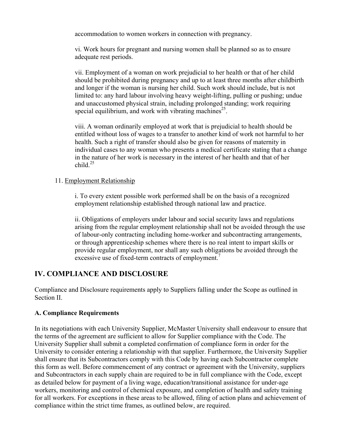accommodation to women workers in connection with pregnancy.

vi. Work hours for pregnant and nursing women shall be planned so as to ensure adequate rest periods.

vii. Employment of a woman on work prejudicial to her health or that of her child should be prohibited during pregnancy and up to at least three months after childbirth and longer if the woman is nursing her child. Such work should include, but is not limited to: any hard labour involving heavy weight-lifting, pulling or pushing; undue and unaccustomed physical strain, including prolonged standing; work requiring special equilibrium, and work with vibrating machines<sup>25</sup>.

viii. A woman ordinarily employed at work that is prejudicial to health should be entitled without loss of wages to a transfer to another kind of work not harmful to her health. Such a right of transfer should also be given for reasons of maternity in individual cases to any woman who presents a medical certificate stating that a change in the nature of her work is necessary in the interest of her health and that of her child.25

#### 11. Employment Relationship

i. To every extent possible work performed shall be on the basis of a recognized employment relationship established through national law and practice.

ii. Obligations of employers under labour and social security laws and regulations arising from the regular employment relationship shall not be avoided through the use of labour-only contracting including home-worker and subcontracting arrangements, or through apprenticeship schemes where there is no real intent to impart skills or provide regular employment, nor shall any such obligations be avoided through the excessive use of fixed-term contracts of employment.<sup>7</sup>

## **IV. COMPLIANCE AND DISCLOSURE**

Compliance and Disclosure requirements apply to Suppliers falling under the Scope as outlined in Section II.

#### **A. Compliance Requirements**

In its negotiations with each University Supplier, McMaster University shall endeavour to ensure that the terms of the agreement are sufficient to allow for Supplier compliance with the Code. The University Supplier shall submit a completed confirmation of compliance form in order for the University to consider entering a relationship with that supplier. Furthermore, the University Supplier shall ensure that its Subcontractors comply with this Code by having each Subcontractor complete this form as well. Before commencement of any contract or agreement with the University, suppliers and Subcontractors in each supply chain are required to be in full compliance with the Code, except as detailed below for payment of a living wage, education/transitional assistance for under-age workers, monitoring and control of chemical exposure, and completion of health and safety training for all workers. For exceptions in these areas to be allowed, filing of action plans and achievement of compliance within the strict time frames, as outlined below, are required.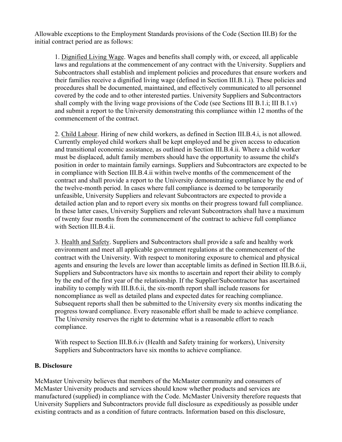Allowable exceptions to the Employment Standards provisions of the Code (Section III.B) for the initial contract period are as follows:

1. Dignified Living Wage. Wages and benefits shall comply with, or exceed, all applicable laws and regulations at the commencement of any contract with the University. Suppliers and Subcontractors shall establish and implement policies and procedures that ensure workers and their families receive a dignified living wage (defined in Section III.B.1.i). These policies and procedures shall be documented, maintained, and effectively communicated to all personnel covered by the code and to other interested parties. University Suppliers and Subcontractors shall comply with the living wage provisions of the Code (see Sections III B.1.i; III B.1.v) and submit a report to the University demonstrating this compliance within 12 months of the commencement of the contract.

2. Child Labour. Hiring of new child workers, as defined in Section III.B.4.i, is not allowed. Currently employed child workers shall be kept employed and be given access to education and transitional economic assistance, as outlined in Section III.B.4.ii. Where a child worker must be displaced, adult family members should have the opportunity to assume the child's position in order to maintain family earnings. Suppliers and Subcontractors are expected to be in compliance with Section III.B.4.ii within twelve months of the commencement of the contract and shall provide a report to the University demonstrating compliance by the end of the twelve-month period. In cases where full compliance is deemed to be temporarily unfeasible, University Suppliers and relevant Subcontractors are expected to provide a detailed action plan and to report every six months on their progress toward full compliance. In these latter cases, University Suppliers and relevant Subcontractors shall have a maximum of twenty four months from the commencement of the contract to achieve full compliance with Section III.B.4.ii.

3. Health and Safety. Suppliers and Subcontractors shall provide a safe and healthy work environment and meet all applicable government regulations at the commencement of the contract with the University. With respect to monitoring exposure to chemical and physical agents and ensuring the levels are lower than acceptable limits as defined in Section III.B.6.ii, Suppliers and Subcontractors have six months to ascertain and report their ability to comply by the end of the first year of the relationship. If the Supplier/Subcontractor has ascertained inability to comply with III.B.6.ii, the six-month report shall include reasons for noncompliance as well as detailed plans and expected dates for reaching compliance. Subsequent reports shall then be submitted to the University every six months indicating the progress toward compliance. Every reasonable effort shall be made to achieve compliance. The University reserves the right to determine what is a reasonable effort to reach compliance.

With respect to Section III.B.6.iv (Health and Safety training for workers), University Suppliers and Subcontractors have six months to achieve compliance.

#### **B. Disclosure**

McMaster University believes that members of the McMaster community and consumers of McMaster University products and services should know whether products and services are manufactured (supplied) in compliance with the Code. McMaster University therefore requests that University Suppliers and Subcontractors provide full disclosure as expeditiously as possible under existing contracts and as a condition of future contracts. Information based on this disclosure,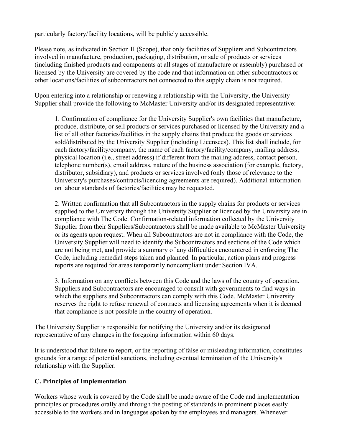particularly factory/facility locations, will be publicly accessible.

Please note, as indicated in Section II (Scope), that only facilities of Suppliers and Subcontractors involved in manufacture, production, packaging, distribution, or sale of products or services (including finished products and components at all stages of manufacture or assembly) purchased or licensed by the University are covered by the code and that information on other subcontractors or other locations/facilities of subcontractors not connected to this supply chain is not required.

Upon entering into a relationship or renewing a relationship with the University, the University Supplier shall provide the following to McMaster University and/or its designated representative:

1. Confirmation of compliance for the University Supplier's own facilities that manufacture, produce, distribute, or sell products or services purchased or licensed by the University and a list of all other factories/facilities in the supply chains that produce the goods or services sold/distributed by the University Supplier (including Licensees). This list shall include, for each factory/facility/company, the name of each factory/facility/company, mailing address, physical location (i.e., street address) if different from the mailing address, contact person, telephone number(s), email address, nature of the business association (for example, factory, distributor, subsidiary), and products or services involved (only those of relevance to the University's purchases/contracts/licencing agreements are required). Additional information on labour standards of factories/facilities may be requested.

2. Written confirmation that all Subcontractors in the supply chains for products or services supplied to the University through the University Supplier or licenced by the University are in compliance with The Code. Confirmation-related information collected by the University Supplier from their Suppliers/Subcontractors shall be made available to McMaster University or its agents upon request. When all Subcontractors are not in compliance with the Code, the University Supplier will need to identify the Subcontractors and sections of the Code which are not being met, and provide a summary of any difficulties encountered in enforcing The Code, including remedial steps taken and planned. In particular, action plans and progress reports are required for areas temporarily noncompliant under Section IVA.

3. Information on any conflicts between this Code and the laws of the country of operation. Suppliers and Subcontractors are encouraged to consult with governments to find ways in which the suppliers and Subcontractors can comply with this Code. McMaster University reserves the right to refuse renewal of contracts and licensing agreements when it is deemed that compliance is not possible in the country of operation.

The University Supplier is responsible for notifying the University and/or its designated representative of any changes in the foregoing information within 60 days.

It is understood that failure to report, or the reporting of false or misleading information, constitutes grounds for a range of potential sanctions, including eventual termination of the University's relationship with the Supplier.

#### **C. Principles of Implementation**

Workers whose work is covered by the Code shall be made aware of the Code and implementation principles or procedures orally and through the posting of standards in prominent places easily accessible to the workers and in languages spoken by the employees and managers. Whenever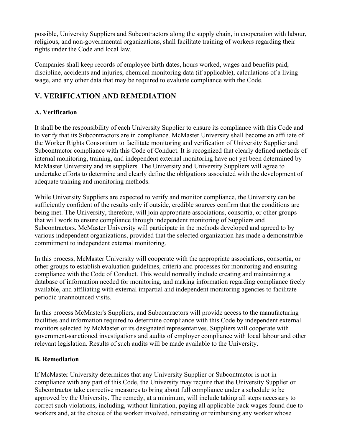possible, University Suppliers and Subcontractors along the supply chain, in cooperation with labour, religious, and non-governmental organizations, shall facilitate training of workers regarding their rights under the Code and local law.

Companies shall keep records of employee birth dates, hours worked, wages and benefits paid, discipline, accidents and injuries, chemical monitoring data (if applicable), calculations of a living wage, and any other data that may be required to evaluate compliance with the Code.

# **V. VERIFICATION AND REMEDIATION**

## **A. Verification**

It shall be the responsibility of each University Supplier to ensure its compliance with this Code and to verify that its Subcontractors are in compliance. McMaster University shall become an affiliate of the Worker Rights Consortium to facilitate monitoring and verification of University Supplier and Subcontractor compliance with this Code of Conduct. It is recognized that clearly defined methods of internal monitoring, training, and independent external monitoring have not yet been determined by McMaster University and its suppliers. The University and University Suppliers will agree to undertake efforts to determine and clearly define the obligations associated with the development of adequate training and monitoring methods.

While University Suppliers are expected to verify and monitor compliance, the University can be sufficiently confident of the results only if outside, credible sources confirm that the conditions are being met. The University, therefore, will join appropriate associations, consortia, or other groups that will work to ensure compliance through independent monitoring of Suppliers and Subcontractors. McMaster University will participate in the methods developed and agreed to by various independent organizations, provided that the selected organization has made a demonstrable commitment to independent external monitoring.

In this process, McMaster University will cooperate with the appropriate associations, consortia, or other groups to establish evaluation guidelines, criteria and processes for monitoring and ensuring compliance with the Code of Conduct. This would normally include creating and maintaining a database of information needed for monitoring, and making information regarding compliance freely available, and affiliating with external impartial and independent monitoring agencies to facilitate periodic unannounced visits.

In this process McMaster's Suppliers, and Subcontractors will provide access to the manufacturing facilities and information required to determine compliance with this Code by independent external monitors selected by McMaster or its designated representatives. Suppliers will cooperate with government-sanctioned investigations and audits of employer compliance with local labour and other relevant legislation. Results of such audits will be made available to the University.

#### **B. Remediation**

If McMaster University determines that any University Supplier or Subcontractor is not in compliance with any part of this Code, the University may require that the University Supplier or Subcontractor take corrective measures to bring about full compliance under a schedule to be approved by the University. The remedy, at a minimum, will include taking all steps necessary to correct such violations, including, without limitation, paying all applicable back wages found due to workers and, at the choice of the worker involved, reinstating or reimbursing any worker whose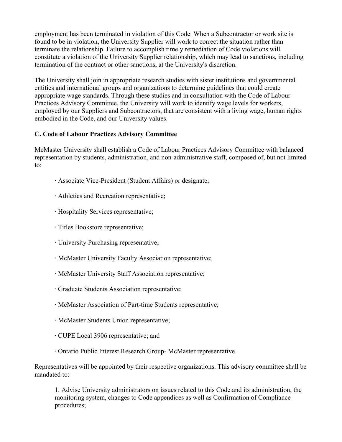employment has been terminated in violation of this Code. When a Subcontractor or work site is found to be in violation, the University Supplier will work to correct the situation rather than terminate the relationship. Failure to accomplish timely remediation of Code violations will constitute a violation of the University Supplier relationship, which may lead to sanctions, including termination of the contract or other sanctions, at the University's discretion.

The University shall join in appropriate research studies with sister institutions and governmental entities and international groups and organizations to determine guidelines that could create appropriate wage standards. Through these studies and in consultation with the Code of Labour Practices Advisory Committee, the University will work to identify wage levels for workers, employed by our Suppliers and Subcontractors, that are consistent with a living wage, human rights embodied in the Code, and our University values.

#### **C. Code of Labour Practices Advisory Committee**

McMaster University shall establish a Code of Labour Practices Advisory Committee with balanced representation by students, administration, and non-administrative staff, composed of, but not limited to:

- · Associate Vice-President (Student Affairs) or designate;
- · Athletics and Recreation representative;
- · Hospitality Services representative;
- · Titles Bookstore representative;
- · University Purchasing representative;
- · McMaster University Faculty Association representative;
- · McMaster University Staff Association representative;
- · Graduate Students Association representative;
- · McMaster Association of Part-time Students representative;
- · McMaster Students Union representative;
- · CUPE Local 3906 representative; and
- · Ontario Public Interest Research Group- McMaster representative.

Representatives will be appointed by their respective organizations. This advisory committee shall be mandated to:

1. Advise University administrators on issues related to this Code and its administration, the monitoring system, changes to Code appendices as well as Confirmation of Compliance procedures;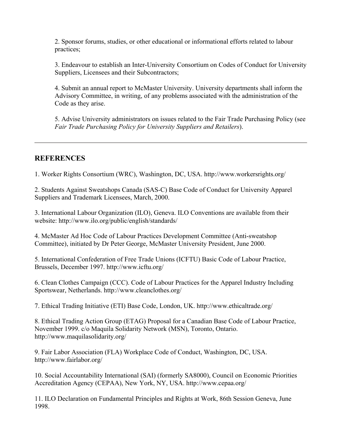2. Sponsor forums, studies, or other educational or informational efforts related to labour practices;

3. Endeavour to establish an Inter-University Consortium on Codes of Conduct for University Suppliers, Licensees and their Subcontractors;

4. Submit an annual report to McMaster University. University departments shall inform the Advisory Committee, in writing, of any problems associated with the administration of the Code as they arise.

5. Advise University administrators on issues related to the Fair Trade Purchasing Policy (see *Fair Trade Purchasing Policy for University Suppliers and Retailers*).

#### **REFERENCES**

1. Worker Rights Consortium (WRC), Washington, DC, USA. http://www.workersrights.org/

2. Students Against Sweatshops Canada (SAS-C) Base Code of Conduct for University Apparel Suppliers and Trademark Licensees, March, 2000.

3. International Labour Organization (ILO), Geneva. ILO Conventions are available from their website: http://www.ilo.org/public/english/standards/

4. McMaster Ad Hoc Code of Labour Practices Development Committee (Anti-sweatshop Committee), initiated by Dr Peter George, McMaster University President, June 2000.

5. International Confederation of Free Trade Unions (ICFTU) Basic Code of Labour Practice, Brussels, December 1997. http://www.icftu.org/

6. Clean Clothes Campaign (CCC). Code of Labour Practices for the Apparel Industry Including Sportswear, Netherlands. http://www.cleanclothes.org/

7. Ethical Trading Initiative (ETI) Base Code, London, UK. http://www.ethicaltrade.org/

8. Ethical Trading Action Group (ETAG) Proposal for a Canadian Base Code of Labour Practice, November 1999. c/o Maquila Solidarity Network (MSN), Toronto, Ontario. http://www.maquilasolidarity.org/

9. Fair Labor Association (FLA) Workplace Code of Conduct, Washington, DC, USA. http://www.fairlabor.org/

10. Social Accountability International (SAI) (formerly SA8000), Council on Economic Priorities Accreditation Agency (CEPAA), New York, NY, USA. http://www.cepaa.org/

11. ILO Declaration on Fundamental Principles and Rights at Work, 86th Session Geneva, June 1998.